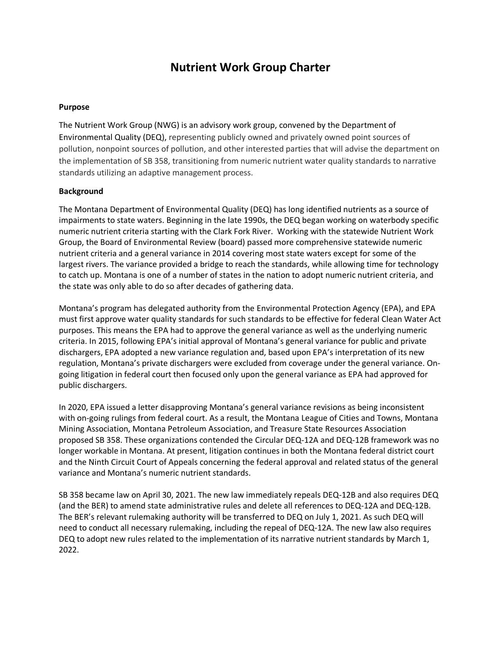# **Nutrient Work Group Charter**

#### **Purpose**

The Nutrient Work Group (NWG) is an advisory work group, convened by the Department of Environmental Quality (DEQ), representing publicly owned and privately owned point sources of pollution, nonpoint sources of pollution, and other interested parties that will advise the department on the implementation of SB 358, transitioning from numeric nutrient water quality standards to narrative standards utilizing an adaptive management process.

#### **Background**

The Montana Department of Environmental Quality (DEQ) has long identified nutrients as a source of impairments to state waters. Beginning in the late 1990s, the DEQ began working on waterbody specific numeric nutrient criteria starting with the Clark Fork River. Working with the statewide Nutrient Work Group, the Board of Environmental Review (board) passed more comprehensive statewide numeric nutrient criteria and a general variance in 2014 covering most state waters except for some of the largest rivers. The variance provided a bridge to reach the standards, while allowing time for technology to catch up. Montana is one of a number of states in the nation to adopt numeric nutrient criteria, and the state was only able to do so after decades of gathering data.

Montana's program has delegated authority from the Environmental Protection Agency (EPA), and EPA must first approve water quality standards for such standards to be effective for federal Clean Water Act purposes. This means the EPA had to approve the general variance as well as the underlying numeric criteria. In 2015, following EPA's initial approval of Montana's general variance for public and private dischargers, EPA adopted a new variance regulation and, based upon EPA's interpretation of its new regulation, Montana's private dischargers were excluded from coverage under the general variance. Ongoing litigation in federal court then focused only upon the general variance as EPA had approved for public dischargers.

In 2020, EPA issued a letter disapproving Montana's general variance revisions as being inconsistent with on-going rulings from federal court. As a result, the Montana League of Cities and Towns, Montana Mining Association, Montana Petroleum Association, and Treasure State Resources Association proposed SB 358. These organizations contended the Circular DEQ-12A and DEQ-12B framework was no longer workable in Montana. At present, litigation continues in both the Montana federal district court and the Ninth Circuit Court of Appeals concerning the federal approval and related status of the general variance and Montana's numeric nutrient standards.

SB 358 became law on April 30, 2021. The new law immediately repeals DEQ-12B and also requires DEQ (and the BER) to amend state administrative rules and delete all references to DEQ-12A and DEQ-12B. The BER's relevant rulemaking authority will be transferred to DEQ on July 1, 2021. As such DEQ will need to conduct all necessary rulemaking, including the repeal of DEQ-12A. The new law also requires DEQ to adopt new rules related to the implementation of its narrative nutrient standards by March 1, 2022.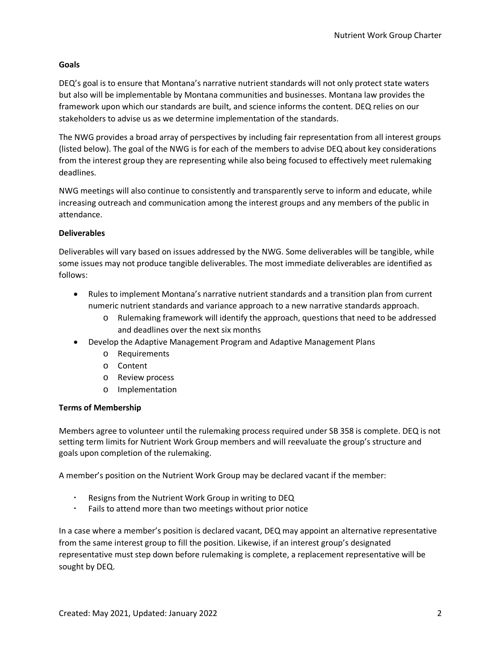## **Goals**

DEQ's goal is to ensure that Montana's narrative nutrient standards will not only protect state waters but also will be implementable by Montana communities and businesses. Montana law provides the framework upon which our standards are built, and science informs the content. DEQ relies on our stakeholders to advise us as we determine implementation of the standards.

The NWG provides a broad array of perspectives by including fair representation from all interest groups (listed below). The goal of the NWG is for each of the members to advise DEQ about key considerations from the interest group they are representing while also being focused to effectively meet rulemaking deadlines.

NWG meetings will also continue to consistently and transparently serve to inform and educate, while increasing outreach and communication among the interest groups and any members of the public in attendance.

# **Deliverables**

Deliverables will vary based on issues addressed by the NWG. Some deliverables will be tangible, while some issues may not produce tangible deliverables. The most immediate deliverables are identified as follows:

- Rules to implement Montana's narrative nutrient standards and a transition plan from current numeric nutrient standards and variance approach to a new narrative standards approach.
	- o Rulemaking framework will identify the approach, questions that need to be addressed and deadlines over the next six months
- Develop the Adaptive Management Program and Adaptive Management Plans
	- o Requirements
	- o Content
	- o Review process
	- o Implementation

#### **Terms of Membership**

Members agree to volunteer until the rulemaking process required under SB 358 is complete. DEQ is not setting term limits for Nutrient Work Group members and will reevaluate the group's structure and goals upon completion of the rulemaking.

A member's position on the Nutrient Work Group may be declared vacant if the member:

- Resigns from the Nutrient Work Group in writing to DEQ
- Fails to attend more than two meetings without prior notice

In a case where a member's position is declared vacant, DEQ may appoint an alternative representative from the same interest group to fill the position. Likewise, if an interest group's designated representative must step down before rulemaking is complete, a replacement representative will be sought by DEQ.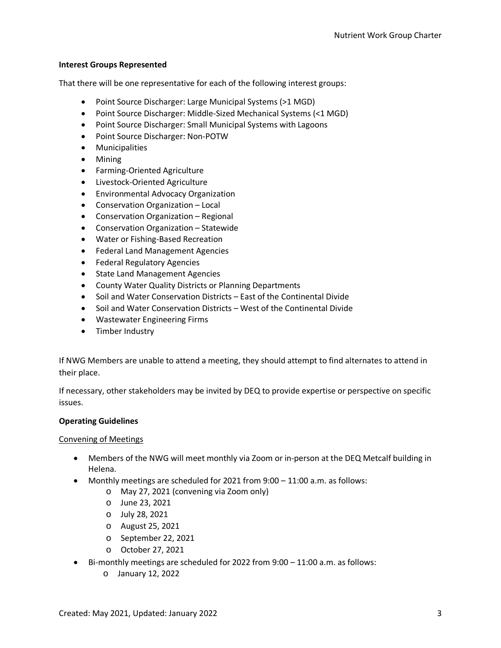# **Interest Groups Represented**

That there will be one representative for each of the following interest groups:

- Point Source Discharger: Large Municipal Systems (>1 MGD)
- Point Source Discharger: Middle-Sized Mechanical Systems (<1 MGD)
- Point Source Discharger: Small Municipal Systems with Lagoons
- Point Source Discharger: Non-POTW
- Municipalities
- Mining
- Farming-Oriented Agriculture
- Livestock-Oriented Agriculture
- Environmental Advocacy Organization
- Conservation Organization Local
- Conservation Organization Regional
- Conservation Organization Statewide
- Water or Fishing-Based Recreation
- Federal Land Management Agencies
- Federal Regulatory Agencies
- State Land Management Agencies
- County Water Quality Districts or Planning Departments
- Soil and Water Conservation Districts East of the Continental Divide
- Soil and Water Conservation Districts West of the Continental Divide
- Wastewater Engineering Firms
- Timber Industry

If NWG Members are unable to attend a meeting, they should attempt to find alternates to attend in their place.

If necessary, other stakeholders may be invited by DEQ to provide expertise or perspective on specific issues.

# **Operating Guidelines**

#### Convening of Meetings

- Members of the NWG will meet monthly via Zoom or in-person at the DEQ Metcalf building in Helena.
- Monthly meetings are scheduled for 2021 from 9:00 11:00 a.m. as follows:
	- o May 27, 2021 (convening via Zoom only)
	- o June 23, 2021
	- o July 28, 2021
	- o August 25, 2021
	- o September 22, 2021
	- o October 27, 2021
- Bi-monthly meetings are scheduled for 2022 from 9:00 11:00 a.m. as follows:
	- o January 12, 2022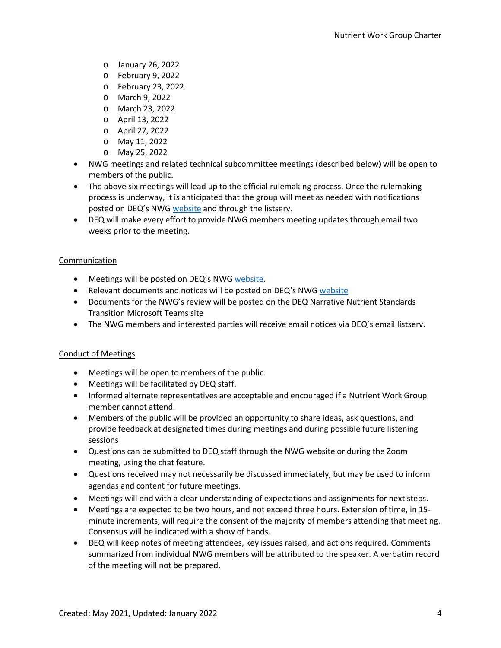- o January 26, 2022
- o February 9, 2022
- o February 23, 2022
- o March 9, 2022
- o March 23, 2022
- o April 13, 2022
- o April 27, 2022
- o May 11, 2022
- o May 25, 2022
- NWG meetings and related technical subcommittee meetings (described below) will be open to members of the public.
- The above six meetings will lead up to the official rulemaking process. Once the rulemaking process is underway, it is anticipated that the group will meet as needed with notifications posted on DEQ's NWG [website](http://deq.mt.gov/Water/Resources/nutrientworkgroup) and through the listserv.
- DEQ will make every effort to provide NWG members meeting updates through email two weeks prior to the meeting.

# **Communication**

- Meetings will be posted on DEQ's NWG [website.](https://deq.mt.gov/water/Councils)
- Relevant documents and notices will be posted on DEQ's NWG [website](https://deq.mt.gov/water/Councils)
- Documents for the NWG's review will be posted on the DEQ Narrative Nutrient Standards Transition Microsoft Teams site
- The NWG members and interested parties will receive email notices via DEQ's email listserv.

#### Conduct of Meetings

- Meetings will be open to members of the public.
- Meetings will be facilitated by DEQ staff.
- Informed alternate representatives are acceptable and encouraged if a Nutrient Work Group member cannot attend.
- Members of the public will be provided an opportunity to share ideas, ask questions, and provide feedback at designated times during meetings and during possible future listening sessions
- Questions can be submitted to DEQ staff through the NWG website or during the Zoom meeting, using the chat feature.
- Questions received may not necessarily be discussed immediately, but may be used to inform agendas and content for future meetings.
- Meetings will end with a clear understanding of expectations and assignments for next steps.
- Meetings are expected to be two hours, and not exceed three hours. Extension of time, in 15 minute increments, will require the consent of the majority of members attending that meeting. Consensus will be indicated with a show of hands.
- DEQ will keep notes of meeting attendees, key issues raised, and actions required. Comments summarized from individual NWG members will be attributed to the speaker. A verbatim record of the meeting will not be prepared.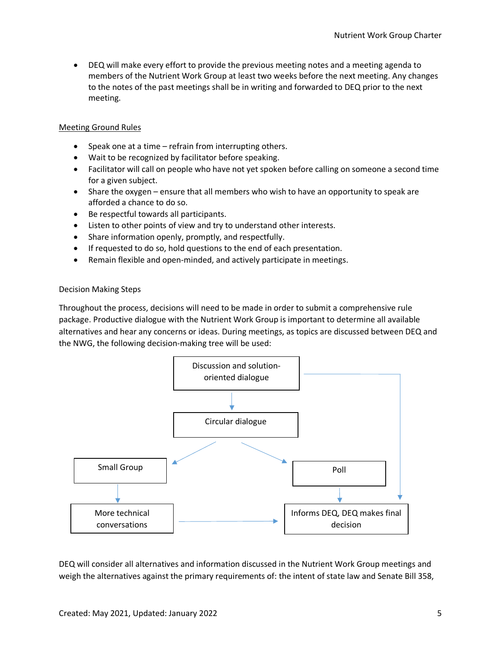• DEQ will make every effort to provide the previous meeting notes and a meeting agenda to members of the Nutrient Work Group at least two weeks before the next meeting. Any changes to the notes of the past meetings shall be in writing and forwarded to DEQ prior to the next meeting.

# Meeting Ground Rules

- Speak one at a time refrain from interrupting others.
- Wait to be recognized by facilitator before speaking.
- Facilitator will call on people who have not yet spoken before calling on someone a second time for a given subject.
- Share the oxygen ensure that all members who wish to have an opportunity to speak are afforded a chance to do so.
- Be respectful towards all participants.
- Listen to other points of view and try to understand other interests.
- Share information openly, promptly, and respectfully.
- If requested to do so, hold questions to the end of each presentation.
- Remain flexible and open-minded, and actively participate in meetings.

#### Decision Making Steps

Throughout the process, decisions will need to be made in order to submit a comprehensive rule package. Productive dialogue with the Nutrient Work Group is important to determine all available alternatives and hear any concerns or ideas. During meetings, as topics are discussed between DEQ and the NWG, the following decision-making tree will be used:



DEQ will consider all alternatives and information discussed in the Nutrient Work Group meetings and weigh the alternatives against the primary requirements of: the intent of state law and Senate Bill 358,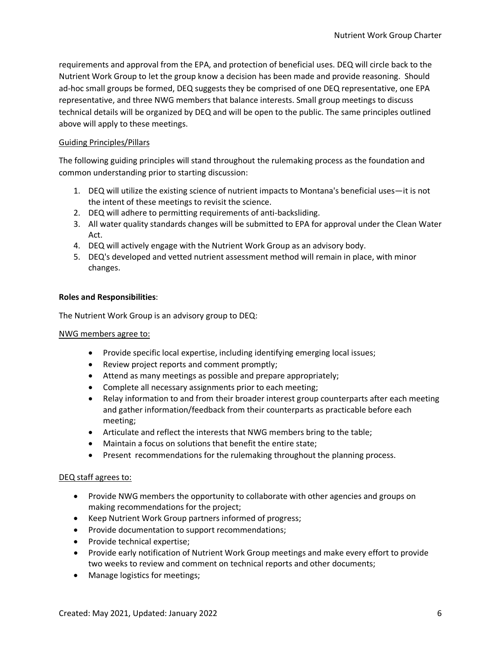requirements and approval from the EPA, and protection of beneficial uses. DEQ will circle back to the Nutrient Work Group to let the group know a decision has been made and provide reasoning. Should ad-hoc small groups be formed, DEQ suggests they be comprised of one DEQ representative, one EPA representative, and three NWG members that balance interests. Small group meetings to discuss technical details will be organized by DEQ and will be open to the public. The same principles outlined above will apply to these meetings.

# Guiding Principles/Pillars

The following guiding principles will stand throughout the rulemaking process as the foundation and common understanding prior to starting discussion:

- 1. DEQ will utilize the existing science of nutrient impacts to Montana's beneficial uses—it is not the intent of these meetings to revisit the science.
- 2. DEQ will adhere to permitting requirements of anti-backsliding.
- 3. All water quality standards changes will be submitted to EPA for approval under the Clean Water Act.
- 4. DEQ will actively engage with the Nutrient Work Group as an advisory body.
- 5. DEQ's developed and vetted nutrient assessment method will remain in place, with minor changes.

#### **Roles and Responsibilities**:

The Nutrient Work Group is an advisory group to DEQ:

#### NWG members agree to:

- Provide specific local expertise, including identifying emerging local issues;
- Review project reports and comment promptly;
- Attend as many meetings as possible and prepare appropriately;
- Complete all necessary assignments prior to each meeting;
- Relay information to and from their broader interest group counterparts after each meeting and gather information/feedback from their counterparts as practicable before each meeting;
- Articulate and reflect the interests that NWG members bring to the table;
- Maintain a focus on solutions that benefit the entire state;
- Present recommendations for the rulemaking throughout the planning process.

#### DEQ staff agrees to:

- Provide NWG members the opportunity to collaborate with other agencies and groups on making recommendations for the project;
- Keep Nutrient Work Group partners informed of progress;
- Provide documentation to support recommendations;
- Provide technical expertise;
- Provide early notification of Nutrient Work Group meetings and make every effort to provide two weeks to review and comment on technical reports and other documents;
- Manage logistics for meetings;